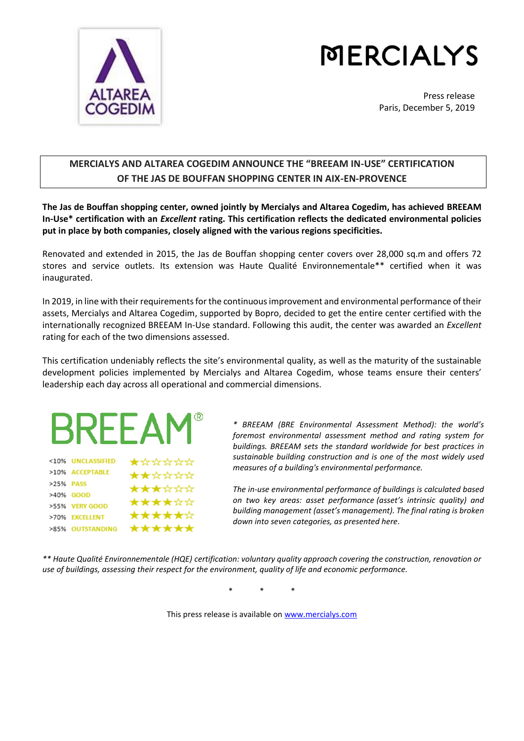

# **MERCIALYS**

Press release Paris, December 5, 2019

# **MERCIALYS AND ALTAREA COGEDIM ANNOUNCE THE "BREEAM IN-USE" CERTIFICATION OF THE JAS DE BOUFFAN SHOPPING CENTER IN AIX-EN-PROVENCE**

**The Jas de Bouffan shopping center, owned jointly by Mercialys and Altarea Cogedim, has achieved BREEAM In-Use\* certification with an** *Excellent* **rating. This certification reflects the dedicated environmental policies put in place by both companies, closely aligned with the various regions specificities.**

Renovated and extended in 2015, the Jas de Bouffan shopping center covers over 28,000 sq.m and offers 72 stores and service outlets. Its extension was Haute Qualité Environnementale\*\* certified when it was inaugurated.

In 2019, in line with their requirements for the continuous improvement and environmental performance of their assets, Mercialys and Altarea Cogedim, supported by Bopro, decided to get the entire center certified with the internationally recognized BREEAM In-Use standard. Following this audit, the center was awarded an *Excellent*  rating for each of the two dimensions assessed.

This certification undeniably reflects the site's environmental quality, as well as the maturity of the sustainable development policies implemented by Mercialys and Altarea Cogedim, whose teams ensure their centers' leadership each day across all operational and commercial dimensions.



|           | SIU/O UNULMOONTILU | XXXXXX |
|-----------|--------------------|--------|
|           | >10% ACCEPTABLE    | ★★☆☆☆☆ |
| >25% PASS |                    | ★★★☆☆☆ |
|           | >40% GOOD          |        |
|           | >55% VERY GOOD     | ****** |
|           | >70% EXCELLENT     | ★★★★★☆ |
|           | >85% OUTSTANDING   | ****** |

*\* BREEAM (BRE Environmental Assessment Method): the world's foremost environmental assessment method and rating system for buildings. BREEAM sets the standard worldwide for best practices in sustainable building construction and is one of the most widely used measures of a building's environmental performance.* 

*The in-use environmental performance of buildings is calculated based on two key areas: asset performance (asset's intrinsic quality) and building management (asset's management). The final rating is broken down into seven categories, as presented here.*

*\*\* Haute Qualité Environnementale (HQE) certification: voluntary quality approach covering the construction, renovation or use of buildings, assessing their respect for the environment, quality of life and economic performance.*

\* \* \*

This press release is available on [www.mercialys.com](http://www.mercialys.com/)